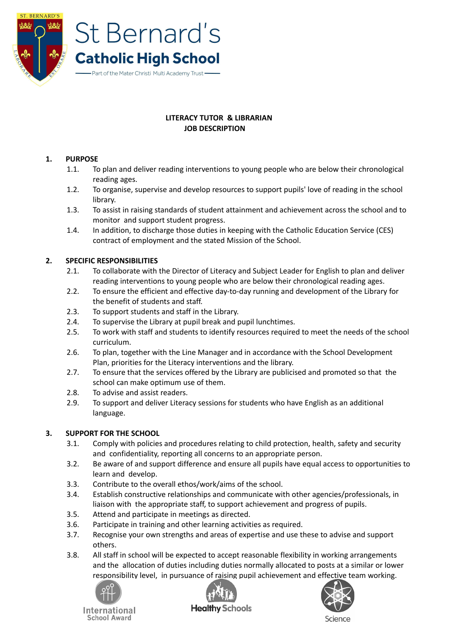

# **LITERACY TUTOR & LIBRARIAN JOB DESCRIPTION**

## **1. PURPOSE**

- 1.1. To plan and deliver reading interventions to young people who are below their chronological reading ages.
- 1.2. To organise, supervise and develop resources to support pupils' love of reading in the school library.
- 1.3. To assist in raising standards of student attainment and achievement across the school and to monitor and support student progress.
- 1.4. In addition, to discharge those duties in keeping with the Catholic Education Service (CES) contract of employment and the stated Mission of the School.

### **2. SPECIFIC RESPONSIBILITIES**

- 2.1. To collaborate with the Director of Literacy and Subject Leader for English to plan and deliver reading interventions to young people who are below their chronological reading ages.
- 2.2. To ensure the efficient and effective day-to-day running and development of the Library for the benefit of students and staff.
- 2.3. To support students and staff in the Library.
- 2.4. To supervise the Library at pupil break and pupil lunchtimes.
- 2.5. To work with staff and students to identify resources required to meet the needs of the school curriculum.
- 2.6. To plan, together with the Line Manager and in accordance with the School Development Plan, priorities for the Literacy interventions and the library.
- 2.7. To ensure that the services offered by the Library are publicised and promoted so that the school can make optimum use of them.
- 2.8. To advise and assist readers.
- 2.9. To support and deliver Literacy sessions for students who have English as an additional language.

# **3. SUPPORT FOR THE SCHOOL**

- 3.1. Comply with policies and procedures relating to child protection, health, safety and security and confidentiality, reporting all concerns to an appropriate person.
- 3.2. Be aware of and support difference and ensure all pupils have equal access to opportunities to learn and develop.
- 3.3. Contribute to the overall ethos/work/aims of the school.
- 3.4. Establish constructive relationships and communicate with other agencies/professionals, in liaison with the appropriate staff, to support achievement and progress of pupils.
- 3.5. Attend and participate in meetings as directed.
- 3.6. Participate in training and other learning activities as required.
- 3.7. Recognise your own strengths and areas of expertise and use these to advise and support others.
- 3.8. All staff in school will be expected to accept reasonable flexibility in working arrangements and the allocation of duties including duties normally allocated to posts at a similar or lower responsibility level, in pursuance of raising pupil achievement and effective team working.







International **School Award** 

**Healthy Schools** 

Science